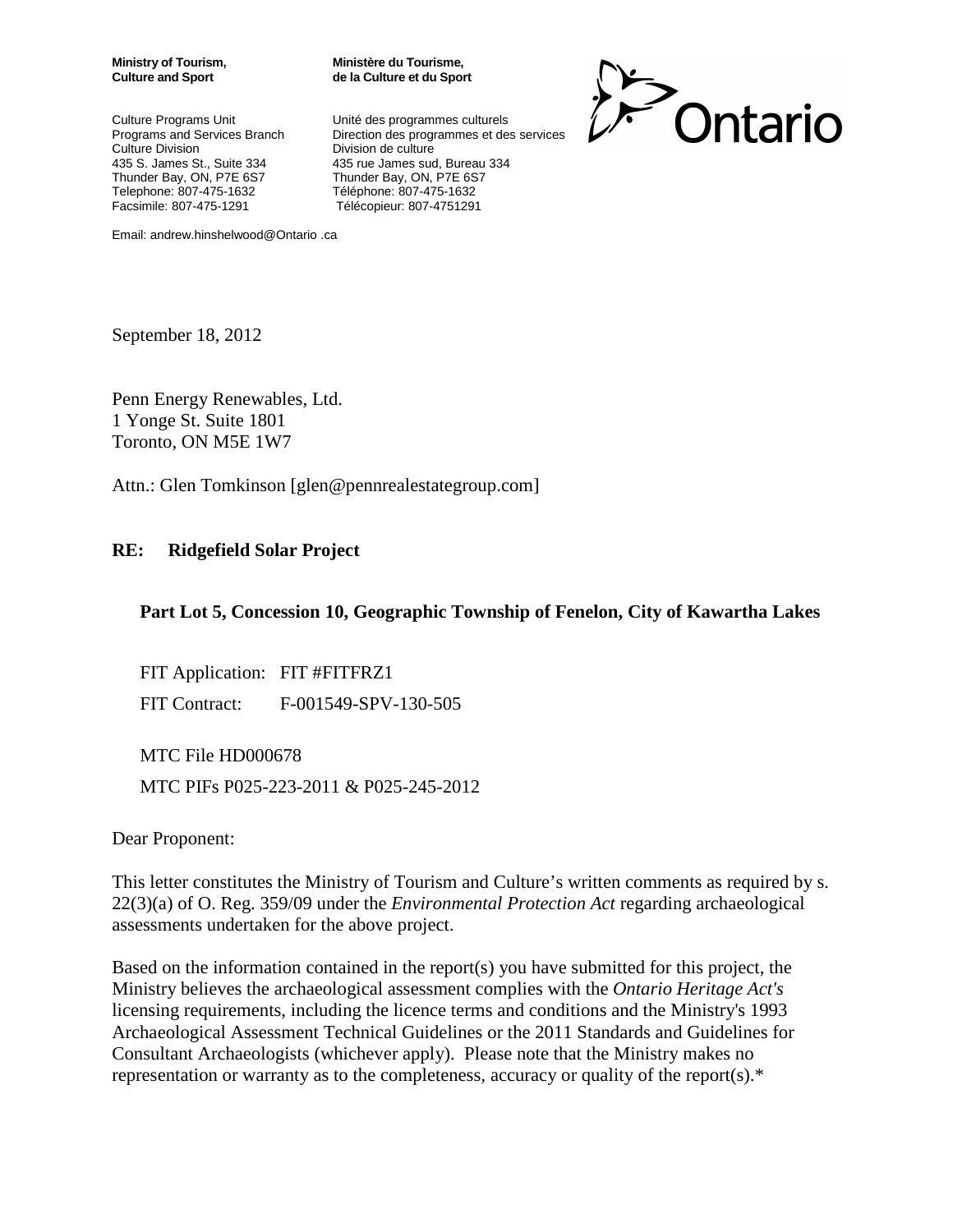Culture Programs Unit Vinité des programmes culturels Telephone: 807-475-1632 Téléphone: 807-475-1632

**Ministry of Tourism, Ministère du Tourisme, Culture and Sport de la Culture et du Sport**

Programs and Services Branch Direction des programmes et des services<br>Culture Division Division de culture Division de culture 435 S. James St., Suite 334 435 rue James sud, Bureau 334<br>Thunder Bay, ON, P7E 6S7 Thunder Bay, ON, P7E 6S7 Thunder Bay, ON, P7E 6S7 Facsimile: 807-475-1291 Télécopieur: 807-4751291



Email: andrew.hinshelwood@Ontario .ca

September 18, 2012

Penn Energy Renewables, Ltd. 1 Yonge St. Suite 1801 Toronto, ON M5E 1W7

Attn.: Glen Tomkinson [glen@pennrealestategroup.com]

#### **RE: Ridgefield Solar Project**

#### **Part Lot 5, Concession 10, Geographic Township of Fenelon, City of Kawartha Lakes**

FIT Application: FIT #FITFRZ1 FIT Contract: F-001549-SPV-130-505

MTC File HD000678 MTC PIFs P025-223-2011 & P025-245-2012

Dear Proponent:

This letter constitutes the Ministry of Tourism and Culture's written comments as required by s. 22(3)(a) of O. Reg. 359/09 under the *Environmental Protection Act* regarding archaeological assessments undertaken for the above project.

Based on the information contained in the report(s) you have submitted for this project, the Ministry believes the archaeological assessment complies with the *Ontario Heritage Act's* licensing requirements, including the licence terms and conditions and the Ministry's 1993 Archaeological Assessment Technical Guidelines or the 2011 Standards and Guidelines for Consultant Archaeologists (whichever apply). Please note that the Ministry makes no representation or warranty as to the completeness, accuracy or quality of the report(s).\*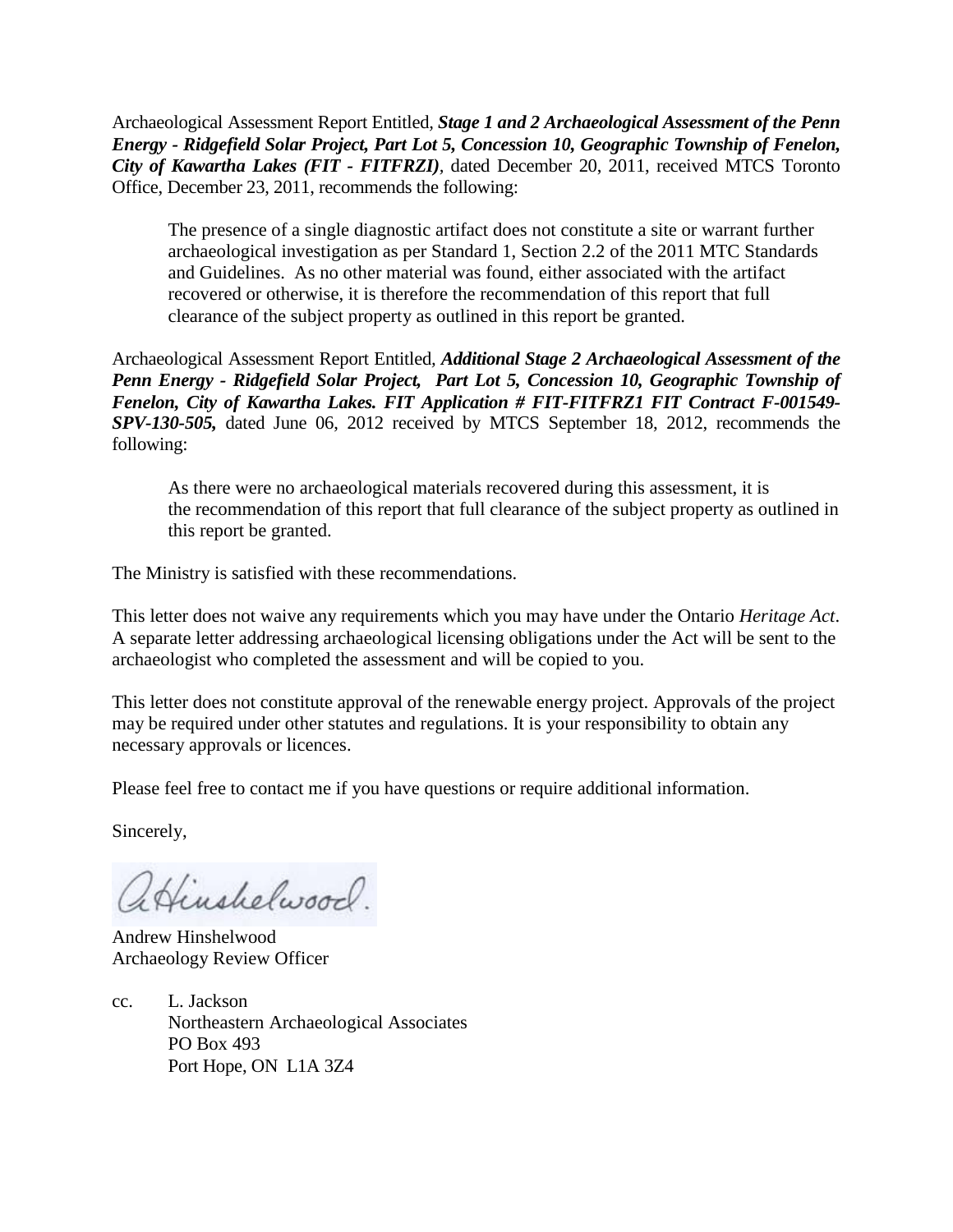Archaeological Assessment Report Entitled*, Stage 1 and 2 Archaeological Assessment of the Penn Energy - Ridgefield Solar Project, Part Lot 5, Concession 10, Geographic Township of Fenelon, City of Kawartha Lakes (FIT - FITFRZI),* dated December 20, 2011, received MTCS Toronto Office, December 23, 2011, recommends the following:

The presence of a single diagnostic artifact does not constitute a site or warrant further archaeological investigation as per Standard 1, Section 2.2 of the 2011 MTC Standards and Guidelines. As no other material was found, either associated with the artifact recovered or otherwise, it is therefore the recommendation of this report that full clearance of the subject property as outlined in this report be granted.

Archaeological Assessment Report Entitled*, Additional Stage 2 Archaeological Assessment of the Penn Energy - Ridgefield Solar Project, Part Lot 5, Concession 10, Geographic Township of Fenelon, City of Kawartha Lakes. FIT Application # FIT-FITFRZ1 FIT Contract F-001549- SPV-130-505,* dated June 06, 2012 received by MTCS September 18, 2012, recommends the following:

As there were no archaeological materials recovered during this assessment, it is the recommendation of this report that full clearance of the subject property as outlined in this report be granted.

The Ministry is satisfied with these recommendations.

This letter does not waive any requirements which you may have under the Ontario *Heritage Act*. A separate letter addressing archaeological licensing obligations under the Act will be sent to the archaeologist who completed the assessment and will be copied to you.

This letter does not constitute approval of the renewable energy project. Approvals of the project may be required under other statutes and regulations. It is your responsibility to obtain any necessary approvals or licences.

Please feel free to contact me if you have questions or require additional information.

Sincerely,

aHinshelwood.

Andrew Hinshelwood Archaeology Review Officer

cc. L. Jackson Northeastern Archaeological Associates PO Box 493 Port Hope, ON L1A 3Z4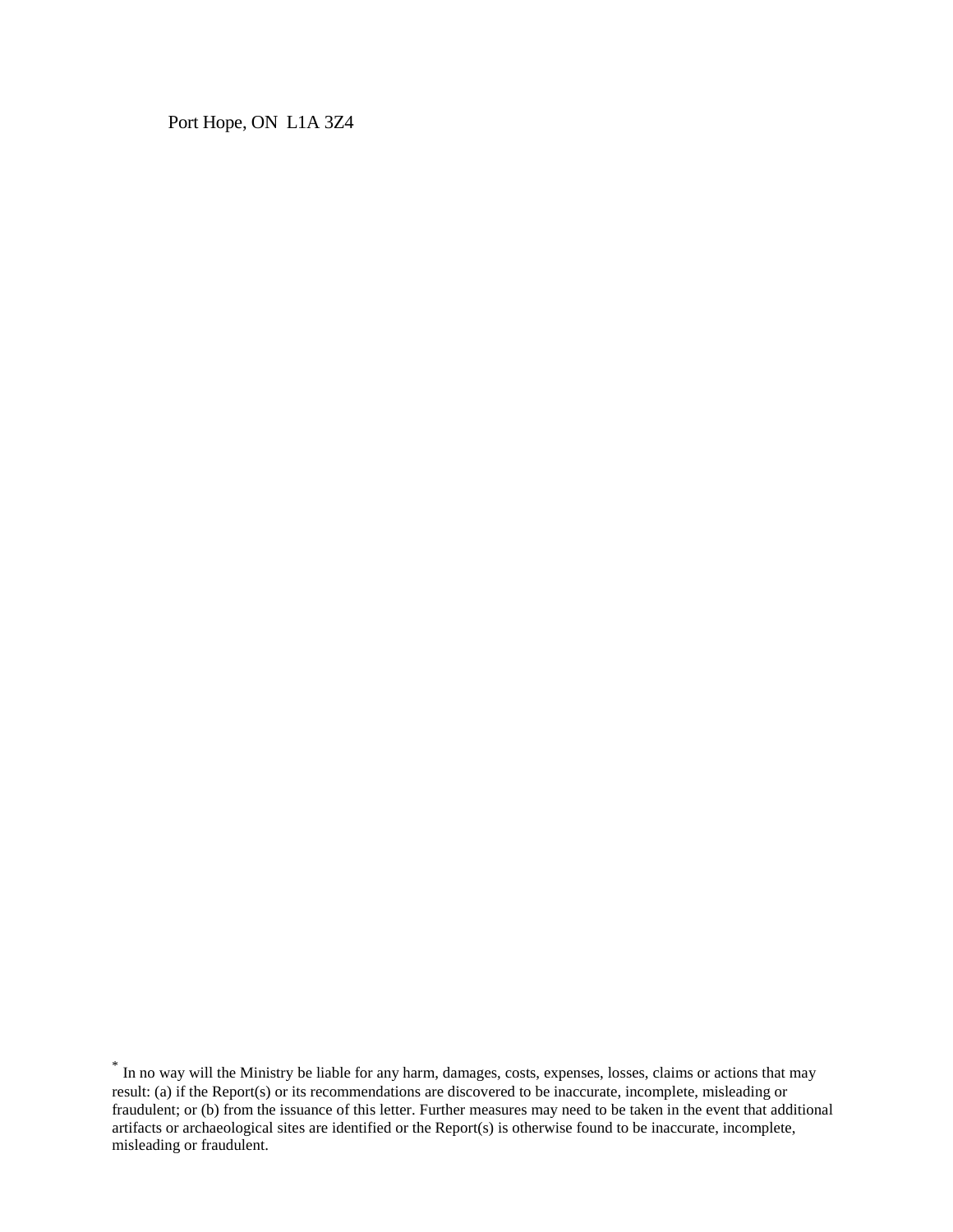Port Hope, ON L1A 3Z4

<sup>\*</sup> In no way will the Ministry be liable for any harm, damages, costs, expenses, losses, claims or actions that may result: (a) if the Report(s) or its recommendations are discovered to be inaccurate, incomplete, misleading or fraudulent; or (b) from the issuance of this letter. Further measures may need to be taken in the event that additional artifacts or archaeological sites are identified or the Report(s) is otherwise found to be inaccurate, incomplete, misleading or fraudulent.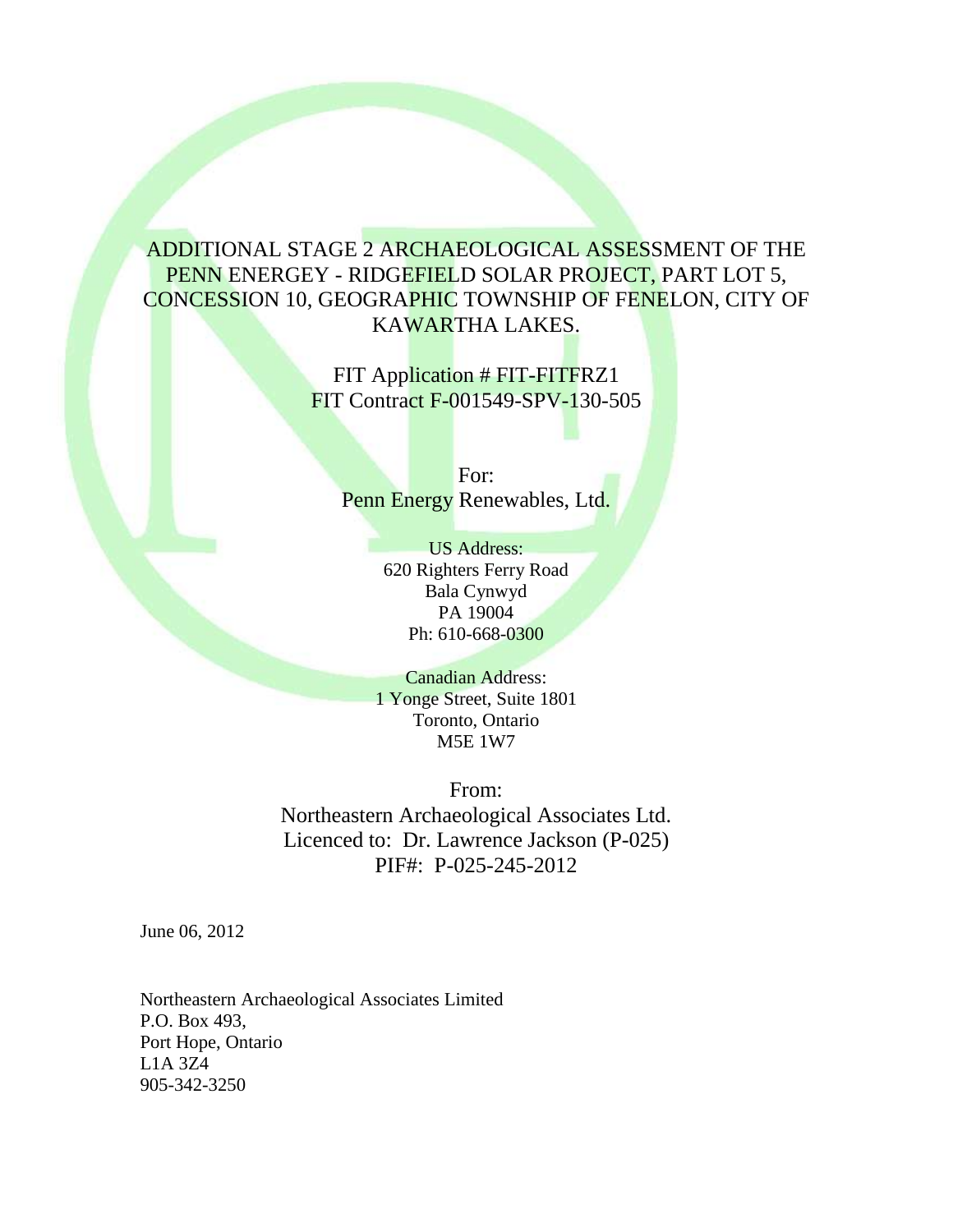## ADDITIONAL STAGE 2 ARCHAEOLOGICAL ASSESSMENT OF THE PENN ENERGEY - RIDGEFIELD SOLAR PROJECT, PART LOT 5, CONCESSION 10, GEOGRAPHIC TOWNSHIP OF FENELON, CITY OF KAWARTHA LAKES.

FIT Application # FIT-FITFRZ1 FIT Contract F-001549-SPV-130-505

For: Penn Energy Renewables, Ltd.

> US Address: 620 Righters Ferry Road Bala Cynwyd PA 19004 Ph: 610-668-0300

Canadian Address: 1 Yonge Street, Suite 1801 Toronto, Ontario M5E 1W7

From: Northeastern Archaeological Associates Ltd. Licenced to: Dr. Lawrence Jackson (P-025) PIF#: P-025-245-2012

June 06, 2012

Northeastern Archaeological Associates Limited P.O. Box 493, Port Hope, Ontario L1A 3Z4 905-342-3250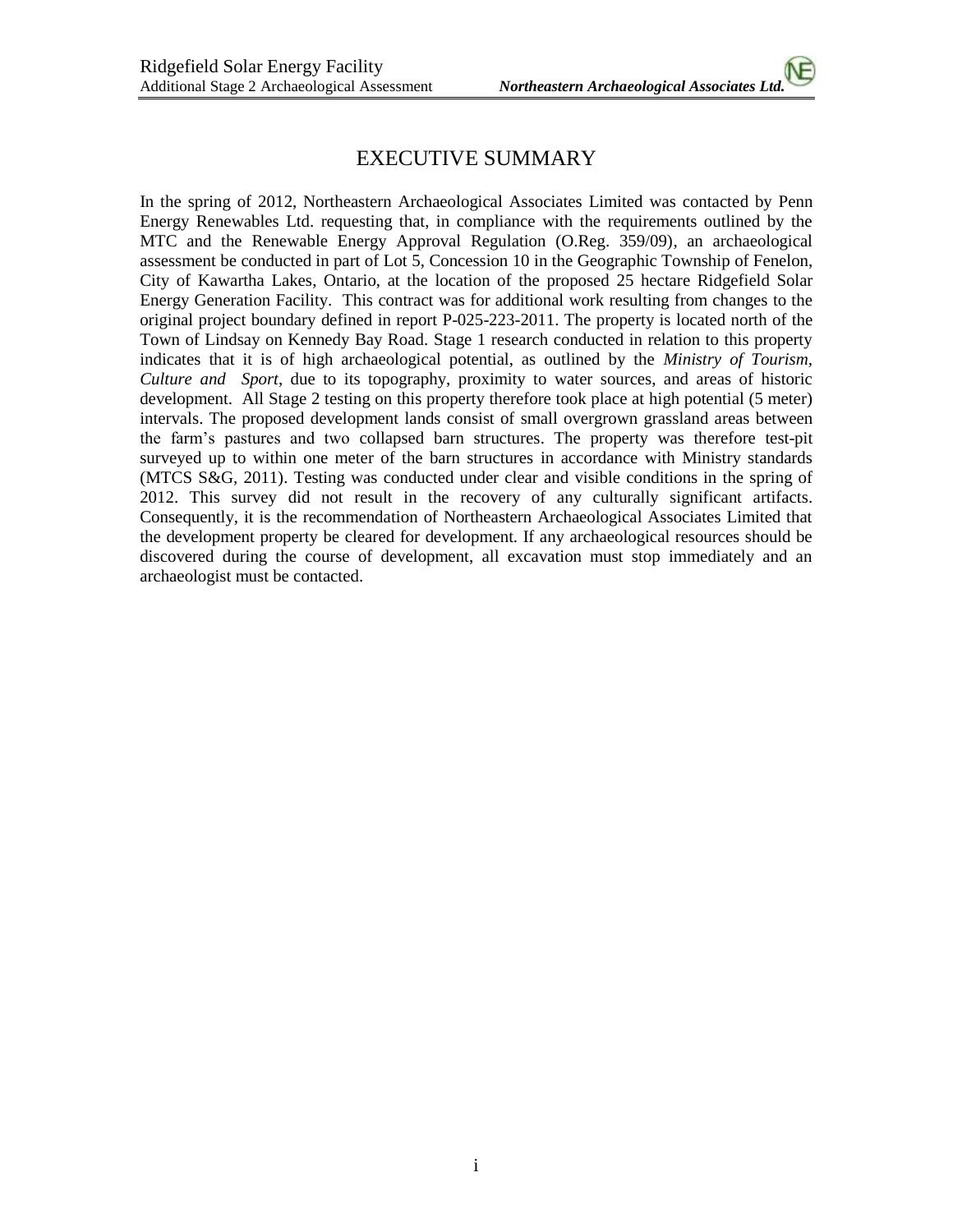## EXECUTIVE SUMMARY

In the spring of 2012, Northeastern Archaeological Associates Limited was contacted by Penn Energy Renewables Ltd. requesting that, in compliance with the requirements outlined by the MTC and the Renewable Energy Approval Regulation (O.Reg. 359/09), an archaeological assessment be conducted in part of Lot 5, Concession 10 in the Geographic Township of Fenelon, City of Kawartha Lakes, Ontario, at the location of the proposed 25 hectare Ridgefield Solar Energy Generation Facility. This contract was for additional work resulting from changes to the original project boundary defined in report P-025-223-2011. The property is located north of the Town of Lindsay on Kennedy Bay Road. Stage 1 research conducted in relation to this property indicates that it is of high archaeological potential, as outlined by the *Ministry of Tourism, Culture and Sport*, due to its topography, proximity to water sources, and areas of historic development. All Stage 2 testing on this property therefore took place at high potential (5 meter) intervals. The proposed development lands consist of small overgrown grassland areas between the farm's pastures and two collapsed barn structures. The property was therefore test-pit surveyed up to within one meter of the barn structures in accordance with Ministry standards (MTCS S&G, 2011). Testing was conducted under clear and visible conditions in the spring of 2012. This survey did not result in the recovery of any culturally significant artifacts. Consequently, it is the recommendation of Northeastern Archaeological Associates Limited that the development property be cleared for development. If any archaeological resources should be discovered during the course of development, all excavation must stop immediately and an archaeologist must be contacted.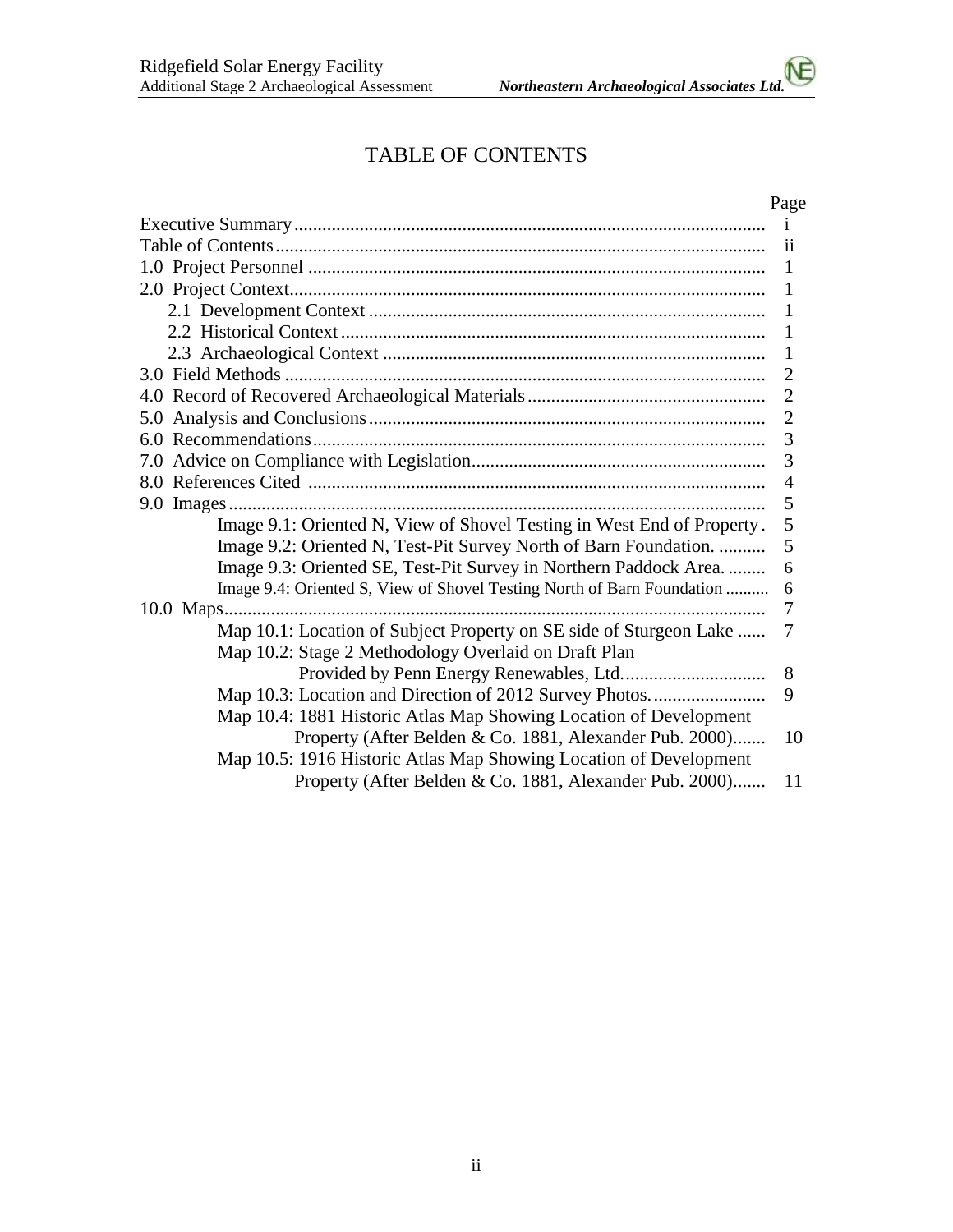# TABLE OF CONTENTS

## Page

|                                                                        | $\mathbf{i}$   |
|------------------------------------------------------------------------|----------------|
|                                                                        | 11             |
|                                                                        | $\mathbf{1}$   |
|                                                                        | -1             |
|                                                                        | 1              |
|                                                                        | 1              |
|                                                                        | $\mathbf{1}$   |
|                                                                        | $\overline{2}$ |
|                                                                        | $\overline{2}$ |
|                                                                        | $\overline{2}$ |
|                                                                        | 3              |
|                                                                        | 3              |
|                                                                        | $\overline{4}$ |
|                                                                        | 5              |
| Image 9.1: Oriented N, View of Shovel Testing in West End of Property. | 5              |
| Image 9.2: Oriented N, Test-Pit Survey North of Barn Foundation.       | 5              |
| Image 9.3: Oriented SE, Test-Pit Survey in Northern Paddock Area       | 6              |
| Image 9.4: Oriented S, View of Shovel Testing North of Barn Foundation | 6              |
|                                                                        | 7              |
| Map 10.1: Location of Subject Property on SE side of Sturgeon Lake     | 7              |
| Map 10.2: Stage 2 Methodology Overlaid on Draft Plan                   |                |
|                                                                        | 8              |
| Map 10.3: Location and Direction of 2012 Survey Photos                 | 9              |
| Map 10.4: 1881 Historic Atlas Map Showing Location of Development      |                |
| Property (After Belden & Co. 1881, Alexander Pub. 2000)                | 10             |
| Map 10.5: 1916 Historic Atlas Map Showing Location of Development      |                |
| Property (After Belden & Co. 1881, Alexander Pub. 2000)                | 11             |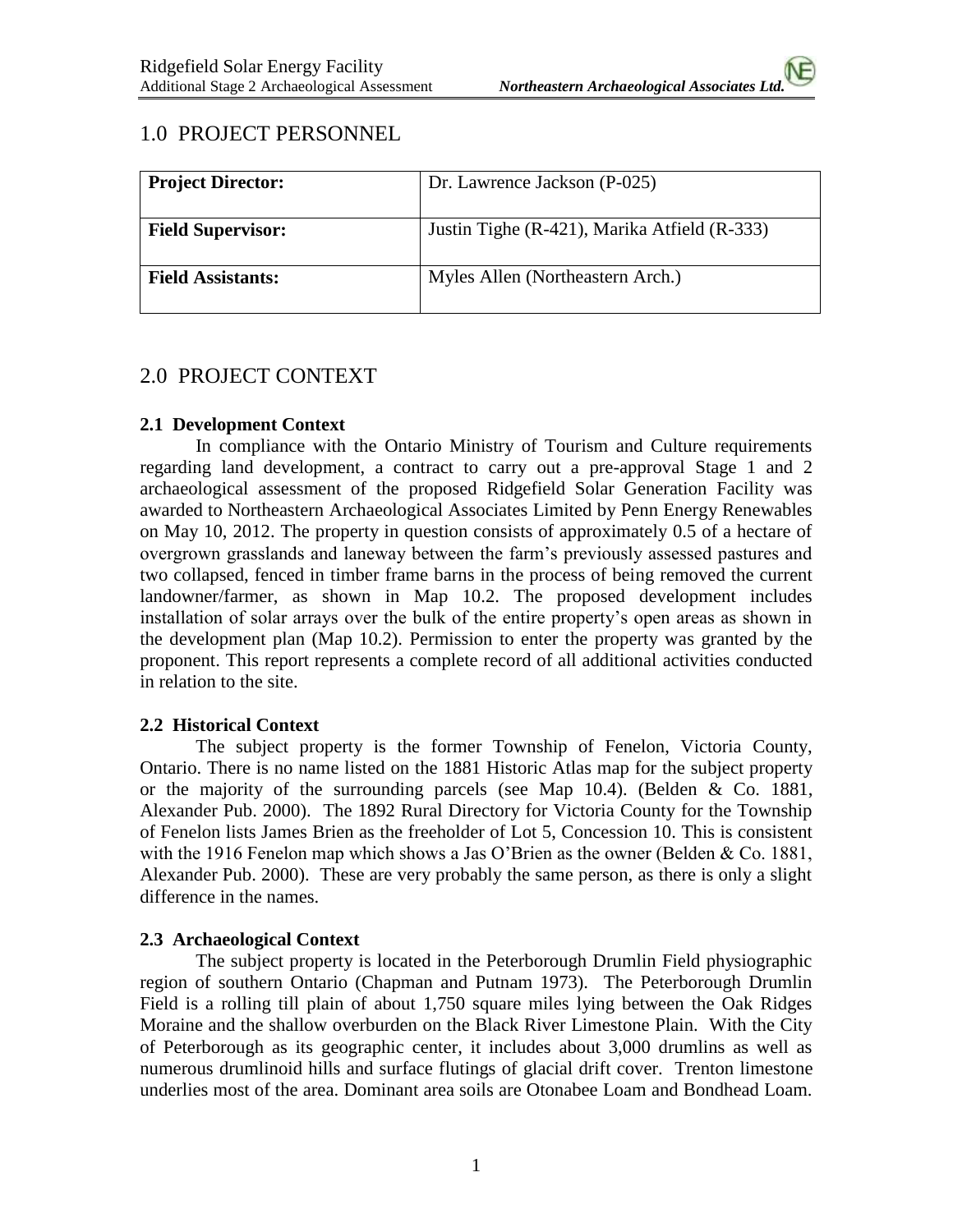## 1.0 PROJECT PERSONNEL

| <b>Project Director:</b> | Dr. Lawrence Jackson (P-025)                 |
|--------------------------|----------------------------------------------|
| <b>Field Supervisor:</b> | Justin Tighe (R-421), Marika Atfield (R-333) |
| <b>Field Assistants:</b> | Myles Allen (Northeastern Arch.)             |

## 2.0 PROJECT CONTEXT

#### **2.1 Development Context**

In compliance with the Ontario Ministry of Tourism and Culture requirements regarding land development, a contract to carry out a pre-approval Stage 1 and 2 archaeological assessment of the proposed Ridgefield Solar Generation Facility was awarded to Northeastern Archaeological Associates Limited by Penn Energy Renewables on May 10, 2012. The property in question consists of approximately 0.5 of a hectare of overgrown grasslands and laneway between the farm's previously assessed pastures and two collapsed, fenced in timber frame barns in the process of being removed the current landowner/farmer, as shown in Map 10.2. The proposed development includes installation of solar arrays over the bulk of the entire property's open areas as shown in the development plan (Map 10.2). Permission to enter the property was granted by the proponent. This report represents a complete record of all additional activities conducted in relation to the site.

#### **2.2 Historical Context**

The subject property is the former Township of Fenelon, Victoria County, Ontario. There is no name listed on the 1881 Historic Atlas map for the subject property or the majority of the surrounding parcels (see Map 10.4). (Belden  $\&$  Co. 1881, Alexander Pub. 2000). The 1892 Rural Directory for Victoria County for the Township of Fenelon lists James Brien as the freeholder of Lot 5, Concession 10. This is consistent with the 1916 Fenelon map which shows a Jas O'Brien as the owner (Belden & Co. 1881, Alexander Pub. 2000). These are very probably the same person, as there is only a slight difference in the names.

#### **2.3 Archaeological Context**

The subject property is located in the Peterborough Drumlin Field physiographic region of southern Ontario (Chapman and Putnam 1973). The Peterborough Drumlin Field is a rolling till plain of about 1,750 square miles lying between the Oak Ridges Moraine and the shallow overburden on the Black River Limestone Plain. With the City of Peterborough as its geographic center, it includes about 3,000 drumlins as well as numerous drumlinoid hills and surface flutings of glacial drift cover. Trenton limestone underlies most of the area. Dominant area soils are Otonabee Loam and Bondhead Loam.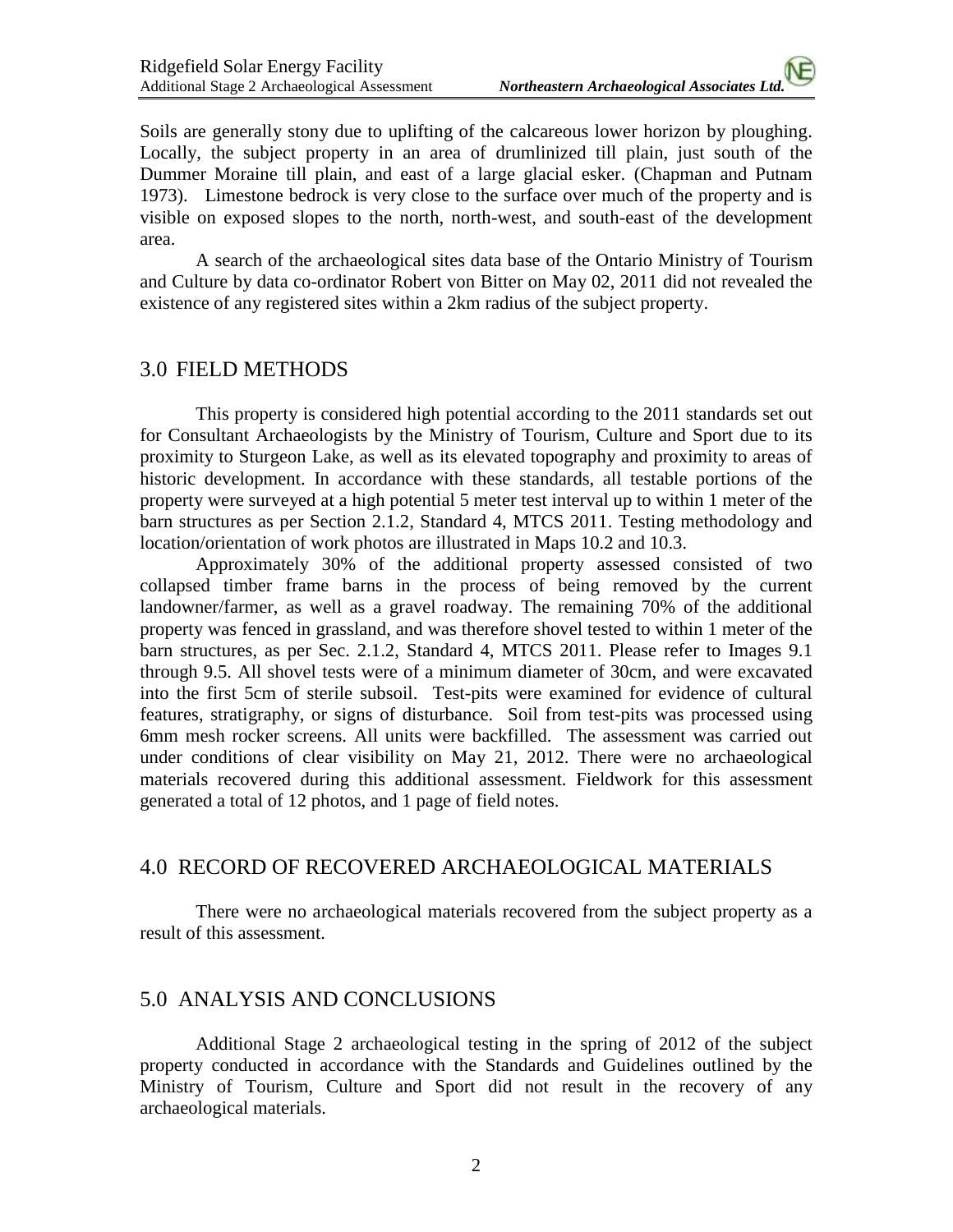Soils are generally stony due to uplifting of the calcareous lower horizon by ploughing. Locally, the subject property in an area of drumlinized till plain, just south of the Dummer Moraine till plain, and east of a large glacial esker. (Chapman and Putnam 1973). Limestone bedrock is very close to the surface over much of the property and is visible on exposed slopes to the north, north-west, and south-east of the development area.

A search of the archaeological sites data base of the Ontario Ministry of Tourism and Culture by data co-ordinator Robert von Bitter on May 02, 2011 did not revealed the existence of any registered sites within a 2km radius of the subject property.

## 3.0 FIELD METHODS

This property is considered high potential according to the 2011 standards set out for Consultant Archaeologists by the Ministry of Tourism, Culture and Sport due to its proximity to Sturgeon Lake, as well as its elevated topography and proximity to areas of historic development. In accordance with these standards, all testable portions of the property were surveyed at a high potential 5 meter test interval up to within 1 meter of the barn structures as per Section 2.1.2, Standard 4, MTCS 2011. Testing methodology and location/orientation of work photos are illustrated in Maps 10.2 and 10.3.

Approximately 30% of the additional property assessed consisted of two collapsed timber frame barns in the process of being removed by the current landowner/farmer, as well as a gravel roadway. The remaining 70% of the additional property was fenced in grassland, and was therefore shovel tested to within 1 meter of the barn structures, as per Sec. 2.1.2, Standard 4, MTCS 2011. Please refer to Images 9.1 through 9.5. All shovel tests were of a minimum diameter of 30cm, and were excavated into the first 5cm of sterile subsoil. Test-pits were examined for evidence of cultural features, stratigraphy, or signs of disturbance. Soil from test-pits was processed using 6mm mesh rocker screens. All units were backfilled. The assessment was carried out under conditions of clear visibility on May 21, 2012. There were no archaeological materials recovered during this additional assessment. Fieldwork for this assessment generated a total of 12 photos, and 1 page of field notes.

## 4.0 RECORD OF RECOVERED ARCHAEOLOGICAL MATERIALS

There were no archaeological materials recovered from the subject property as a result of this assessment.

## 5.0 ANALYSIS AND CONCLUSIONS

Additional Stage 2 archaeological testing in the spring of 2012 of the subject property conducted in accordance with the Standards and Guidelines outlined by the Ministry of Tourism, Culture and Sport did not result in the recovery of any archaeological materials.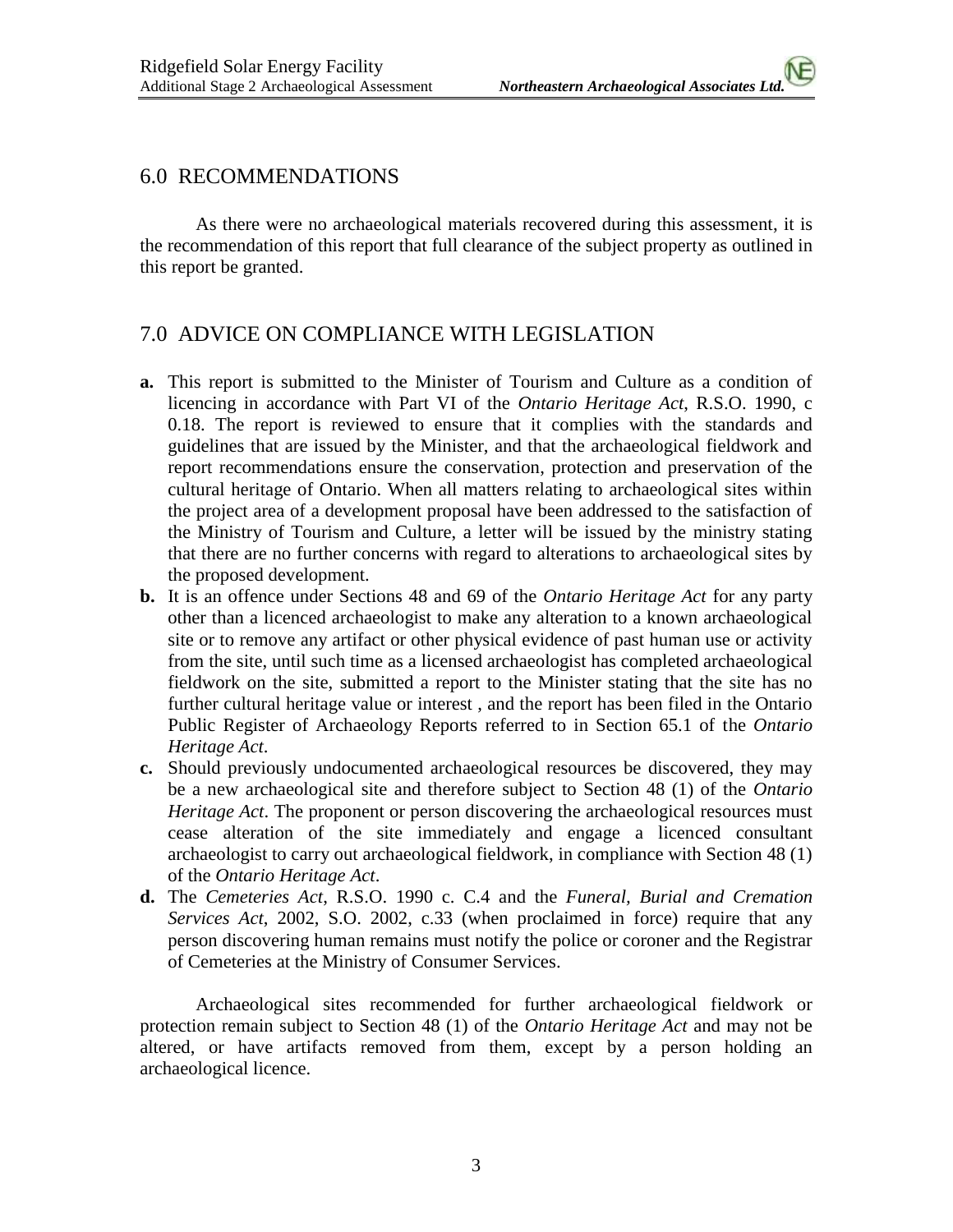#### 6.0 RECOMMENDATIONS

As there were no archaeological materials recovered during this assessment, it is the recommendation of this report that full clearance of the subject property as outlined in this report be granted.

## 7.0 ADVICE ON COMPLIANCE WITH LEGISLATION

- **a.** This report is submitted to the Minister of Tourism and Culture as a condition of licencing in accordance with Part VI of the *Ontario Heritage Act*, R.S.O. 1990, c 0.18. The report is reviewed to ensure that it complies with the standards and guidelines that are issued by the Minister, and that the archaeological fieldwork and report recommendations ensure the conservation, protection and preservation of the cultural heritage of Ontario. When all matters relating to archaeological sites within the project area of a development proposal have been addressed to the satisfaction of the Ministry of Tourism and Culture, a letter will be issued by the ministry stating that there are no further concerns with regard to alterations to archaeological sites by the proposed development.
- **b.** It is an offence under Sections 48 and 69 of the *Ontario Heritage Act* for any party other than a licenced archaeologist to make any alteration to a known archaeological site or to remove any artifact or other physical evidence of past human use or activity from the site, until such time as a licensed archaeologist has completed archaeological fieldwork on the site, submitted a report to the Minister stating that the site has no further cultural heritage value or interest , and the report has been filed in the Ontario Public Register of Archaeology Reports referred to in Section 65.1 of the *Ontario Heritage Act*.
- **c.** Should previously undocumented archaeological resources be discovered, they may be a new archaeological site and therefore subject to Section 48 (1) of the *Ontario Heritage Act*. The proponent or person discovering the archaeological resources must cease alteration of the site immediately and engage a licenced consultant archaeologist to carry out archaeological fieldwork, in compliance with Section 48 (1) of the *Ontario Heritage Act*.
- **d.** The *Cemeteries Act*, R.S.O. 1990 c. C.4 and the *Funeral, Burial and Cremation Services Act*, 2002, S.O. 2002, c.33 (when proclaimed in force) require that any person discovering human remains must notify the police or coroner and the Registrar of Cemeteries at the Ministry of Consumer Services.

Archaeological sites recommended for further archaeological fieldwork or protection remain subject to Section 48 (1) of the *Ontario Heritage Act* and may not be altered, or have artifacts removed from them, except by a person holding an archaeological licence.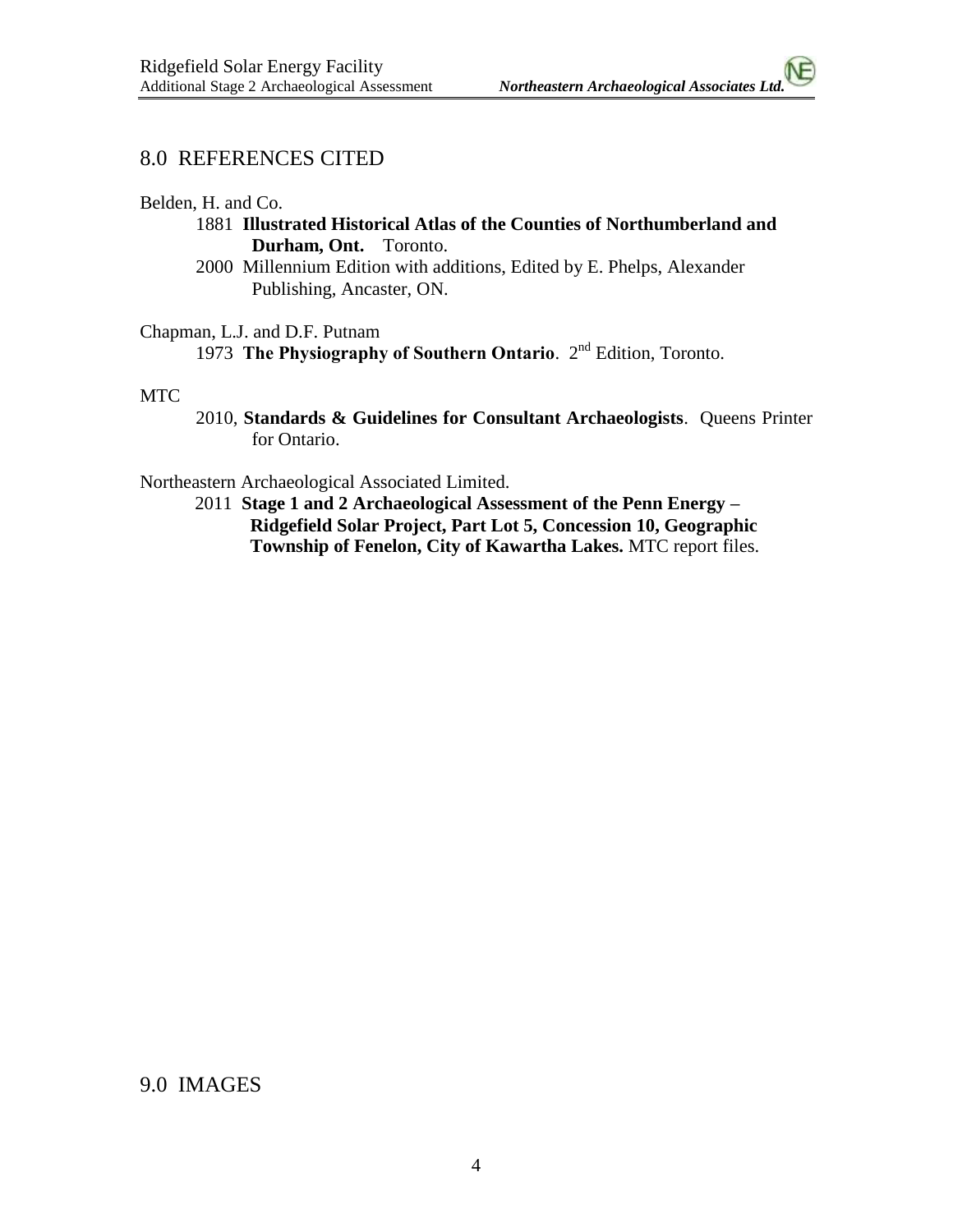### 8.0 REFERENCES CITED

Belden, H. and Co.

- 1881 **Illustrated Historical Atlas of the Counties of Northumberland and Durham, Ont.** Toronto.
- 2000 Millennium Edition with additions, Edited by E. Phelps, Alexander Publishing, Ancaster, ON.
- Chapman, L.J. and D.F. Putnam 1973 **The Physiography of Southern Ontario**. 2nd Edition, Toronto.

#### MTC

2010, **Standards & Guidelines for Consultant Archaeologists**. Queens Printer for Ontario.

Northeastern Archaeological Associated Limited.

2011 **Stage 1 and 2 Archaeological Assessment of the Penn Energy – Ridgefield Solar Project, Part Lot 5, Concession 10, Geographic Township of Fenelon, City of Kawartha Lakes.** MTC report files.

9.0 IMAGES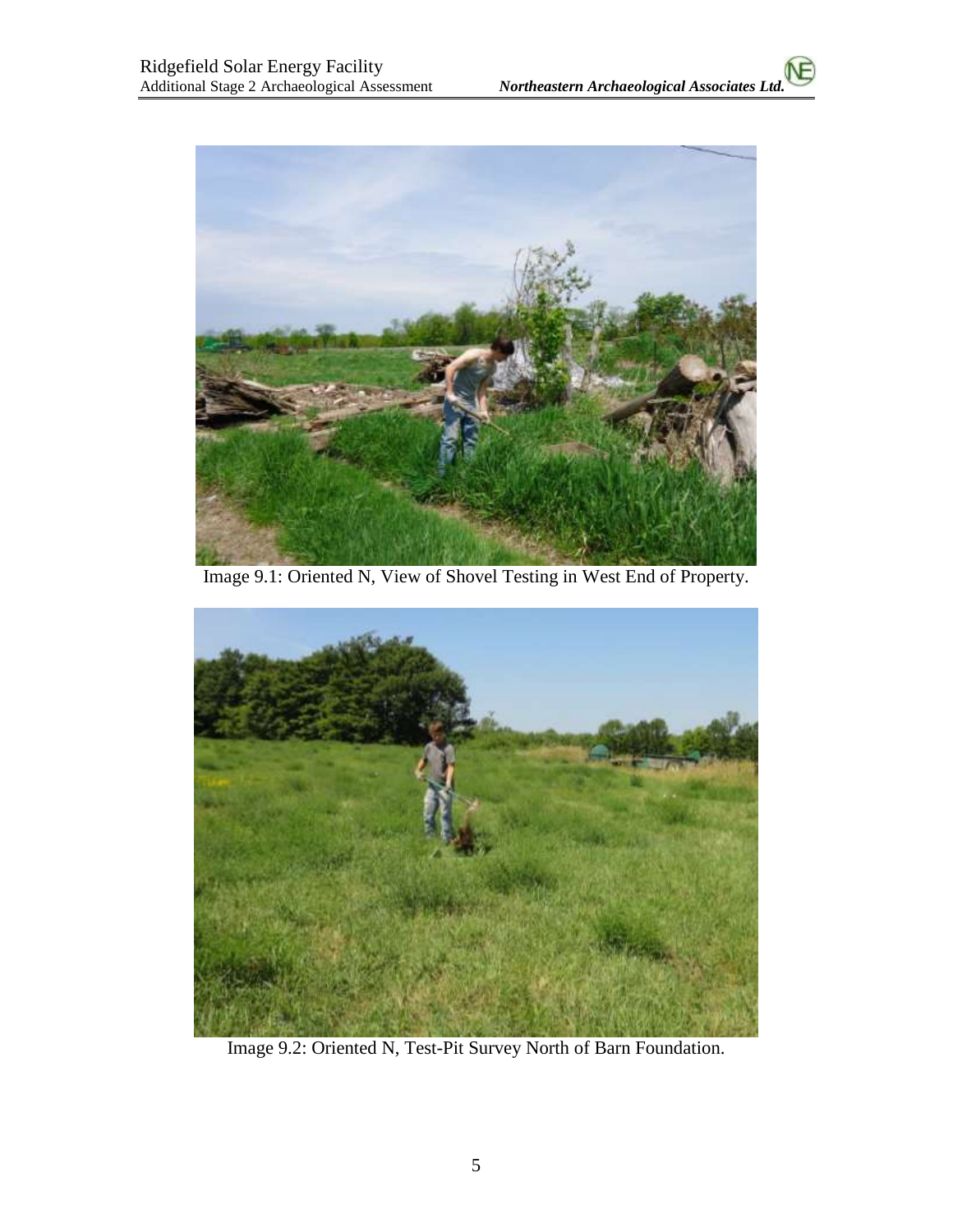

Image 9.1: Oriented N, View of Shovel Testing in West End of Property.



Image 9.2: Oriented N, Test-Pit Survey North of Barn Foundation.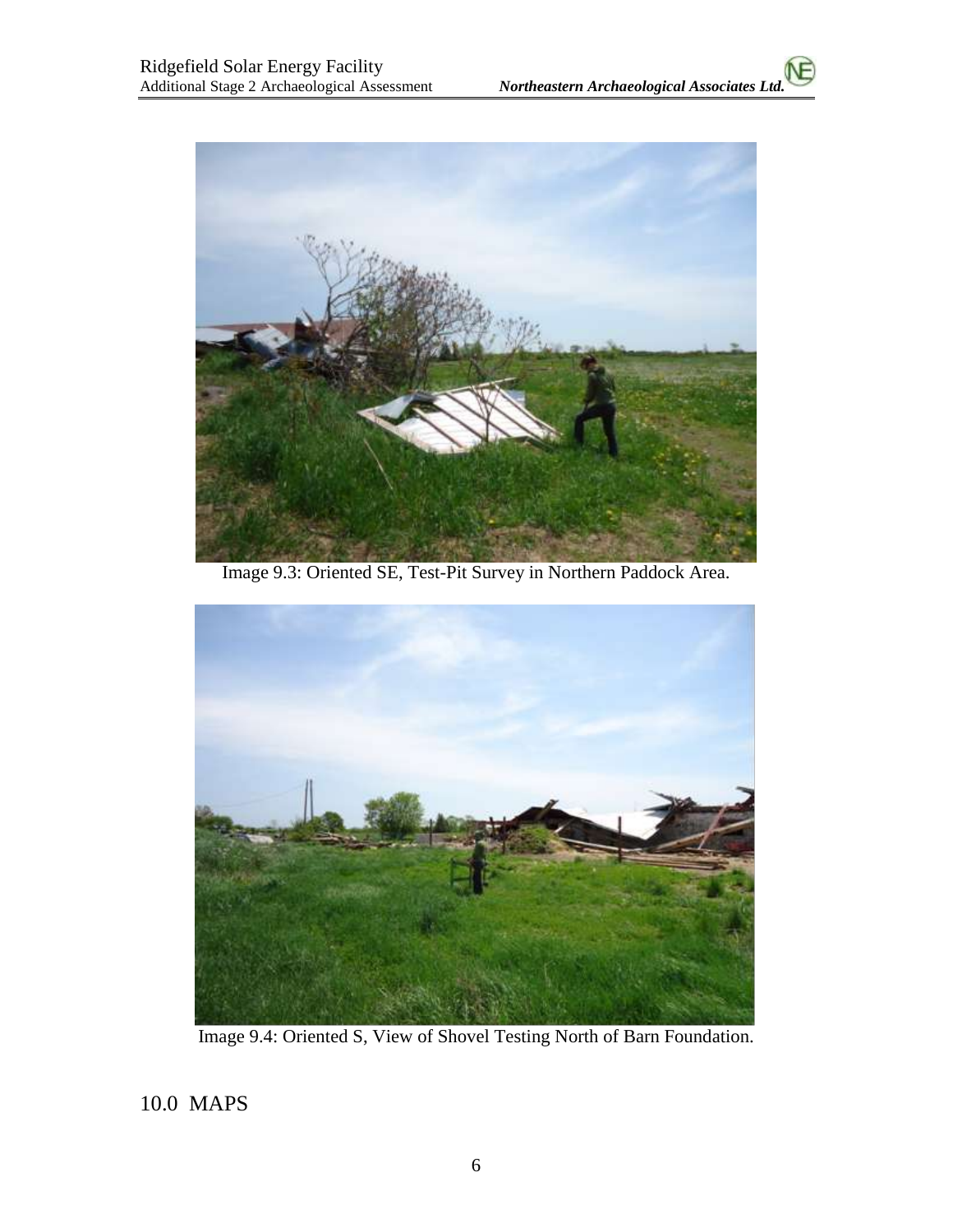

Image 9.3: Oriented SE, Test-Pit Survey in Northern Paddock Area.



Image 9.4: Oriented S, View of Shovel Testing North of Barn Foundation.

10.0 MAPS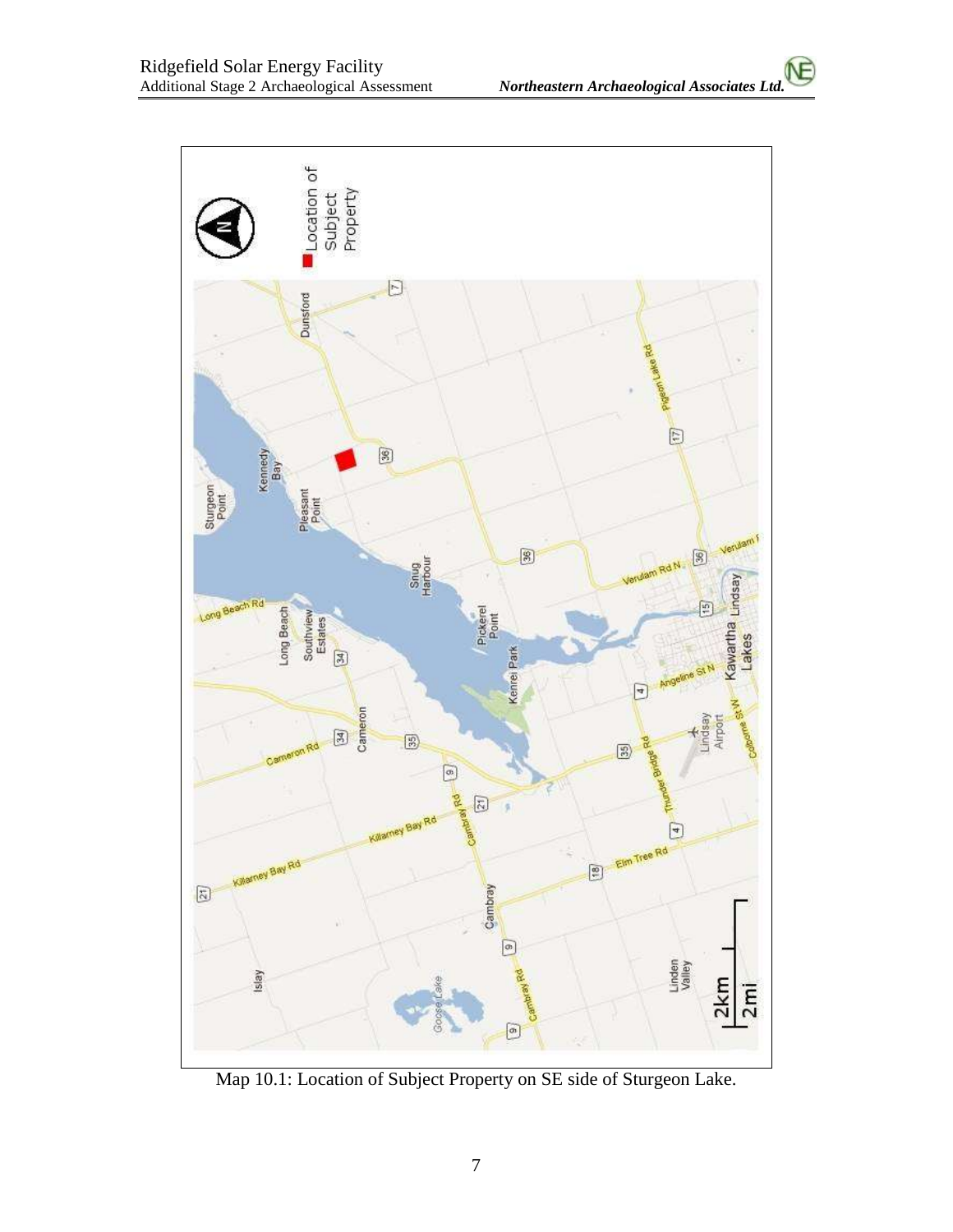

Map 10.1: Location of Subject Property on SE side of Sturgeon Lake.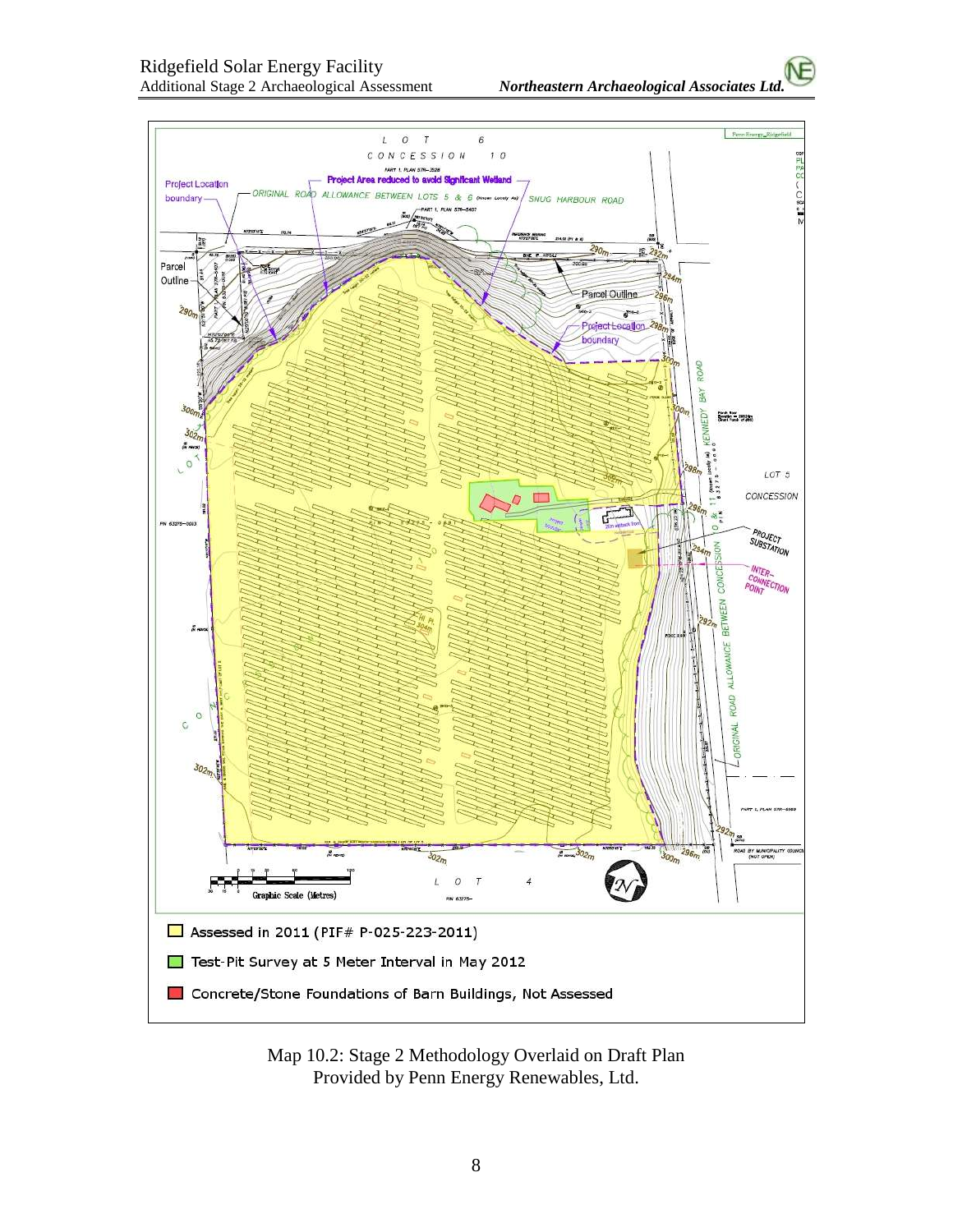

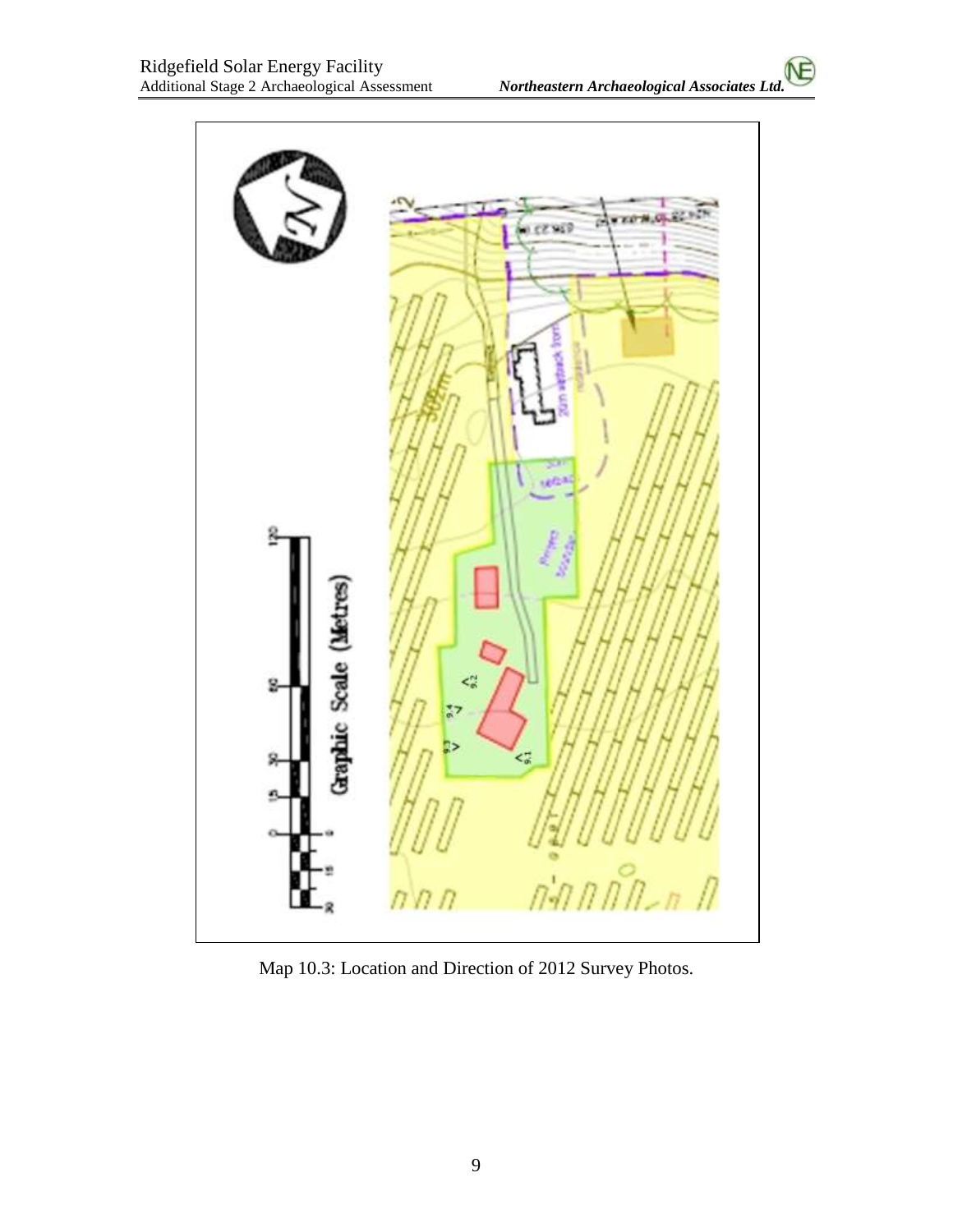

Map 10.3: Location and Direction of 2012 Survey Photos.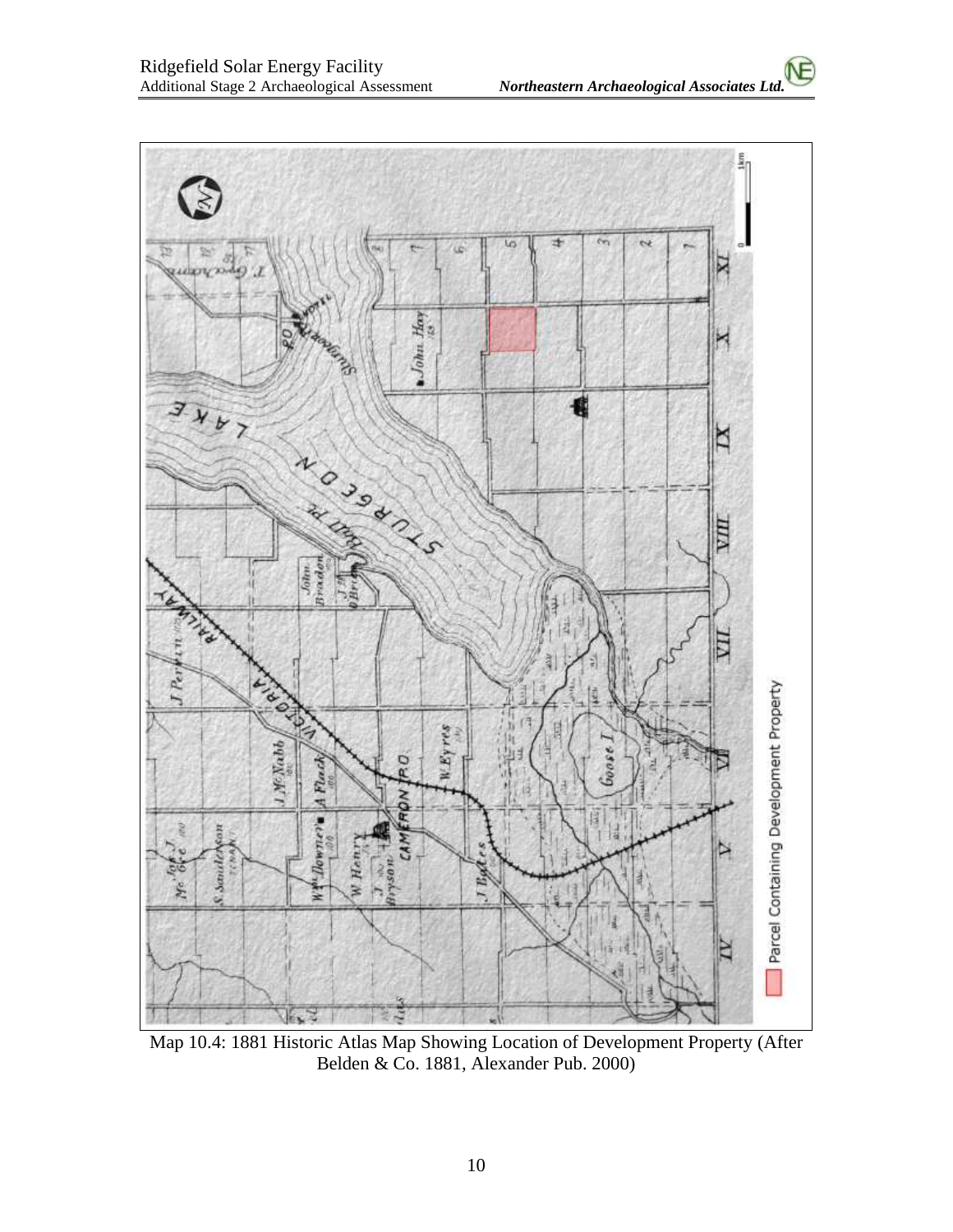

Map 10.4: 1881 Historic Atlas Map Showing Location of Development Property (After Belden & Co. 1881, Alexander Pub. 2000)